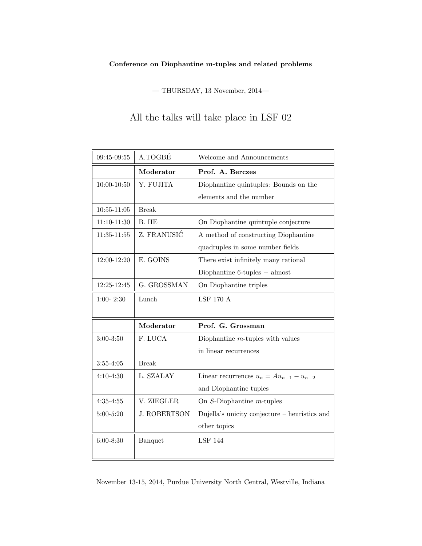$-$  THURSDAY, 13 November, 2014 $-$ 

All the talks will take place in LSF 02

| 09:45-09:55     | A.TOGBÉ             | Welcome and Announcements                     |
|-----------------|---------------------|-----------------------------------------------|
|                 | Moderator           | Prof. A. Berczes                              |
| 10:00-10:50     | Y. FUJITA           | Diophantine quintuples: Bounds on the         |
|                 |                     | elements and the number                       |
| $10:55 - 11:05$ | <b>Break</b>        |                                               |
| 11:10-11:30     | B. HE               | On Diophantine quintuple conjecture           |
| 11:35-11:55     | Z. FRANUSIĆ         | A method of constructing Diophantine          |
|                 |                     | quadruples in some number fields              |
| 12:00-12:20     | E. GOINS            | There exist infinitely many rational          |
|                 |                     | Diophantine $6$ -tuples $-$ almost            |
| 12:25-12:45     | G. GROSSMAN         | On Diophantine triples                        |
| $1:00 - 2:30$   | Lunch               | <b>LSF 170 A</b>                              |
|                 |                     |                                               |
|                 |                     |                                               |
|                 | Moderator           | Prof. G. Grossman                             |
| $3:00 - 3:50$   | F. LUCA             | Diophantine $m$ -tuples with values           |
|                 |                     | in linear recurrences                         |
| $3:55 - 4:05$   | <b>Break</b>        |                                               |
| $4:10 - 4:30$   | L. SZALAY           | Linear recurrences $u_n = Au_{n-1} - u_{n-2}$ |
|                 |                     | and Diophantine tuples                        |
| $4:35 - 4:55$   | V. ZIEGLER          | On $S$ -Diophantine $m$ -tuples               |
| $5:00 - 5:20$   | <b>J. ROBERTSON</b> | Dujella's unicity conjecture – heuristics and |
|                 |                     | other topics                                  |
| $6:00 - 8:30$   | Banquet             | <b>LSF 144</b>                                |
|                 |                     |                                               |

November 13-15, 2014, Purdue University North Central, Westville, Indiana